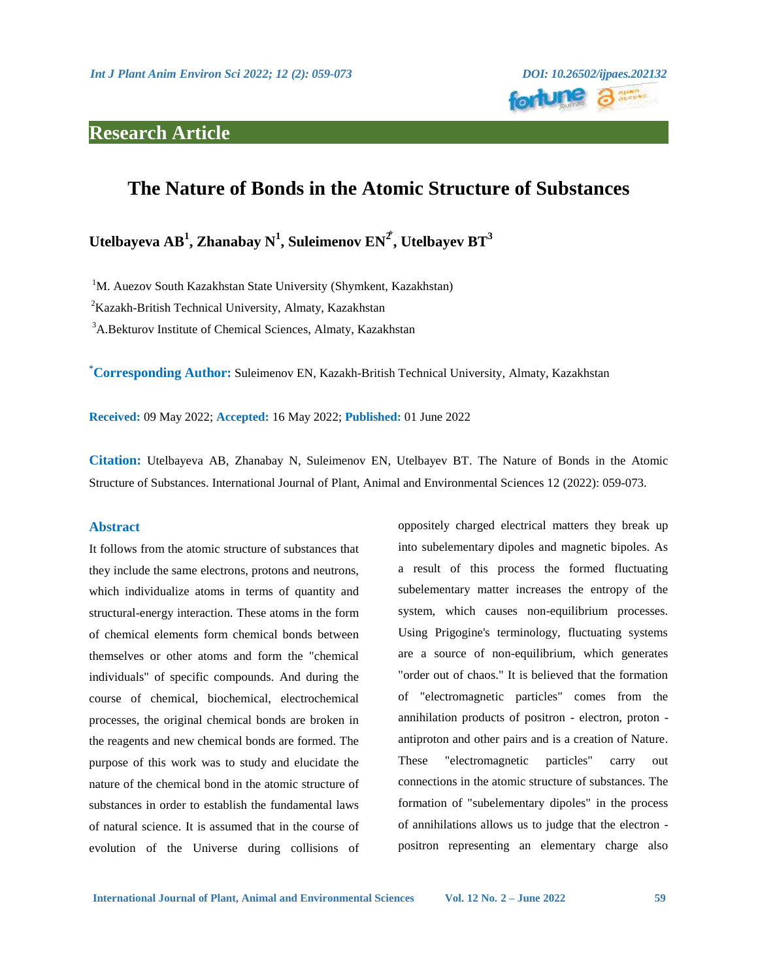# **Research Article**



# **The Nature of Bonds in the Atomic Structure of Substances**

 ${\bf U}$ telbayeva AB $^1$ , Zhanabay N $^1$ , Suleimenov EN $^2$ , Utelbayev BT $^3$ 

<sup>1</sup>M. Auezov South Kazakhstan State University (Shymkent, Kazakhstan)

 ${}^{2}$ Kazakh-British Technical University, Almaty, Kazakhstan

<sup>3</sup>A.Bekturov Institute of Chemical Sciences, Almaty, Kazakhstan

**\*Corresponding Author:** Suleimenov EN, Kazakh-British Technical University, Almaty, Kazakhstan

**Received:** 09 May 2022; **Accepted:** 16 May 2022; **Published:** 01 June 2022

**Citation:** Utelbayeva AB, Zhanabay N, Suleimenov EN, Utelbayev BT. The Nature of Bonds in the Atomic Structure of Substances. International Journal of Plant, Animal and Environmental Sciences 12 (2022): 059-073.

# **Abstract**

It follows from the atomic structure of substances that they include the same electrons, protons and neutrons, which individualize atoms in terms of quantity and structural-energy interaction. These atoms in the form of chemical elements form chemical bonds between themselves or other atoms and form the "chemical individuals" of specific compounds. And during the course of chemical, biochemical, electrochemical processes, the original chemical bonds are broken in the reagents and new chemical bonds are formed. The purpose of this work was to study and elucidate the nature of the chemical bond in the atomic structure of substances in order to establish the fundamental laws of natural science. It is assumed that in the course of evolution of the Universe during collisions of oppositely charged electrical matters they break up into subelementary dipoles and magnetic bipoles. As a result of this process the formed fluctuating subelementary matter increases the entropy of the system, which causes non-equilibrium processes. Using Prigogine's terminology, fluctuating systems are a source of non-equilibrium, which generates "order out of chaos." It is believed that the formation of "electromagnetic particles" comes from the annihilation products of positron - electron, proton antiproton and other pairs and is a creation of Nature. These "electromagnetic particles" carry out connections in the atomic structure of substances. The formation of "subelementary dipoles" in the process of annihilations allows us to judge that the electron positron representing an elementary charge also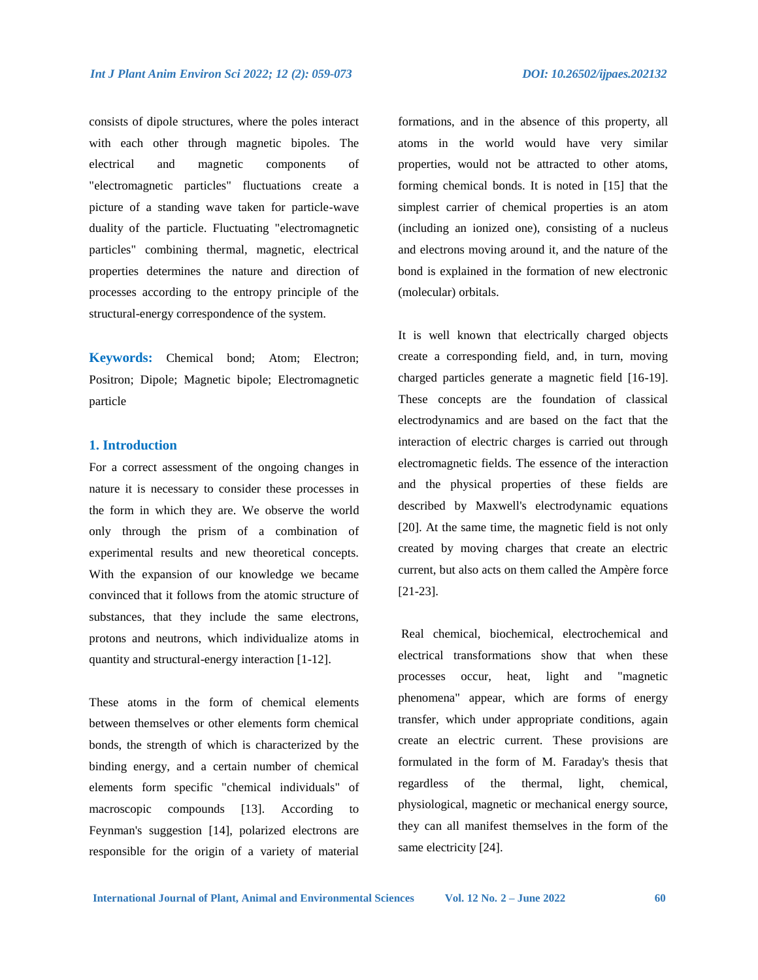consists of dipole structures, where the poles interact with each other through magnetic bipoles. The electrical and magnetic components of "electromagnetic particles" fluctuations create a picture of a standing wave taken for particle-wave duality of the particle. Fluctuating "electromagnetic particles" combining thermal, magnetic, electrical properties determines the nature and direction of processes according to the entropy principle of the structural-energy correspondence of the system.

**Keywords:** Chemical bond; Atom; Electron; Positron; Dipole; Magnetic bipole; Electromagnetic particle

### **1. Introduction**

For a correct assessment of the ongoing changes in nature it is necessary to consider these processes in the form in which they are. We observe the world only through the prism of a combination of experimental results and new theoretical concepts. With the expansion of our knowledge we became convinced that it follows from the atomic structure of substances, that they include the same electrons, protons and neutrons, which individualize atoms in quantity and structural-energy interaction [1-12].

These atoms in the form of chemical elements between themselves or other elements form chemical bonds, the strength of which is characterized by the binding energy, and a certain number of chemical elements form specific "chemical individuals" of macroscopic compounds [13]. According to Feynman's suggestion [14], polarized electrons are responsible for the origin of a variety of material

formations, and in the absence of this property, all atoms in the world would have very similar properties, would not be attracted to other atoms, forming chemical bonds. It is noted in [15] that the simplest carrier of chemical properties is an atom (including an ionized one), consisting of a nucleus and electrons moving around it, and the nature of the bond is explained in the formation of new electronic (molecular) orbitals.

It is well known that electrically charged objects create a corresponding field, and, in turn, moving charged particles generate a magnetic field [16-19]. These concepts are the foundation of classical electrodynamics and are based on the fact that the interaction of electric charges is carried out through electromagnetic fields. The essence of the interaction and the physical properties of these fields are described by Maxwell's electrodynamic equations [20]. At the same time, the magnetic field is not only created by moving charges that create an electric current, but also acts on them called the Ampère force [21-23].

Real chemical, biochemical, electrochemical and electrical transformations show that when these processes occur, heat, light and "magnetic phenomena" appear, which are forms of energy transfer, which under appropriate conditions, again create an electric current. These provisions are formulated in the form of M. Faraday's thesis that regardless of the thermal, light, chemical, physiological, magnetic or mechanical energy source, they can all manifest themselves in the form of the same electricity [24].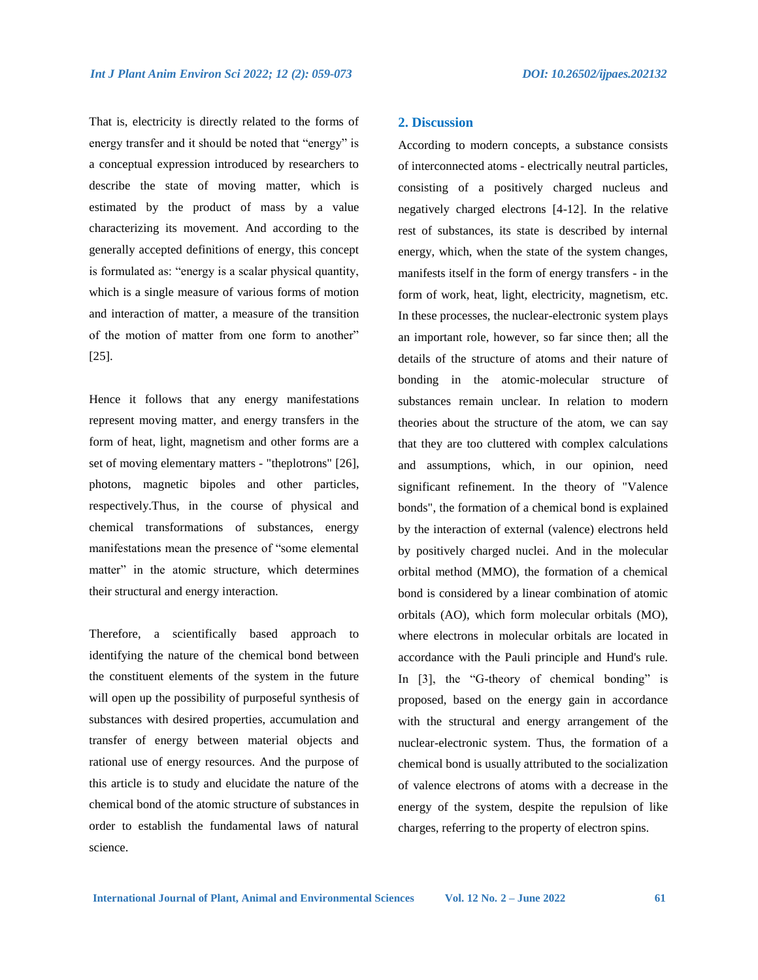That is, electricity is directly related to the forms of energy transfer and it should be noted that "energy" is a conceptual expression introduced by researchers to describe the state of moving matter, which is estimated by the product of mass by a value characterizing its movement. And according to the generally accepted definitions of energy, this concept is formulated as: "energy is a scalar physical quantity, which is a single measure of various forms of motion and interaction of matter, a measure of the transition of the motion of matter from one form to another" [25].

Hence it follows that any energy manifestations represent moving matter, and energy transfers in the form of heat, light, magnetism and other forms are a set of moving elementary matters - "theplotrons" [26], photons, magnetic bipoles and other particles, respectively.Thus, in the course of physical and chemical transformations of substances, energy manifestations mean the presence of "some elemental matter" in the atomic structure, which determines their structural and energy interaction.

Therefore, a scientifically based approach to identifying the nature of the chemical bond between the constituent elements of the system in the future will open up the possibility of purposeful synthesis of substances with desired properties, accumulation and transfer of energy between material objects and rational use of energy resources. And the purpose of this article is to study and elucidate the nature of the chemical bond of the atomic structure of substances in order to establish the fundamental laws of natural science.

# **2. Discussion**

According to modern concepts, a substance consists of interconnected atoms - electrically neutral particles, consisting of a positively charged nucleus and negatively charged electrons [4-12]. In the relative rest of substances, its state is described by internal energy, which, when the state of the system changes, manifests itself in the form of energy transfers - in the form of work, heat, light, electricity, magnetism, etc. In these processes, the nuclear-electronic system plays an important role, however, so far since then; all the details of the structure of atoms and their nature of bonding in the atomic-molecular structure of substances remain unclear. In relation to modern theories about the structure of the atom, we can say that they are too cluttered with complex calculations and assumptions, which, in our opinion, need significant refinement. In the theory of "Valence bonds", the formation of a chemical bond is explained by the interaction of external (valence) electrons held by positively charged nuclei. And in the molecular orbital method (MMO), the formation of a chemical bond is considered by a linear combination of atomic orbitals (AO), which form molecular orbitals (MO), where electrons in molecular orbitals are located in accordance with the Pauli principle and Hund's rule. In [3], the "G-theory of chemical bonding" is proposed, based on the energy gain in accordance with the structural and energy arrangement of the nuclear-electronic system. Thus, the formation of a chemical bond is usually attributed to the socialization of valence electrons of atoms with a decrease in the energy of the system, despite the repulsion of like charges, referring to the property of electron spins.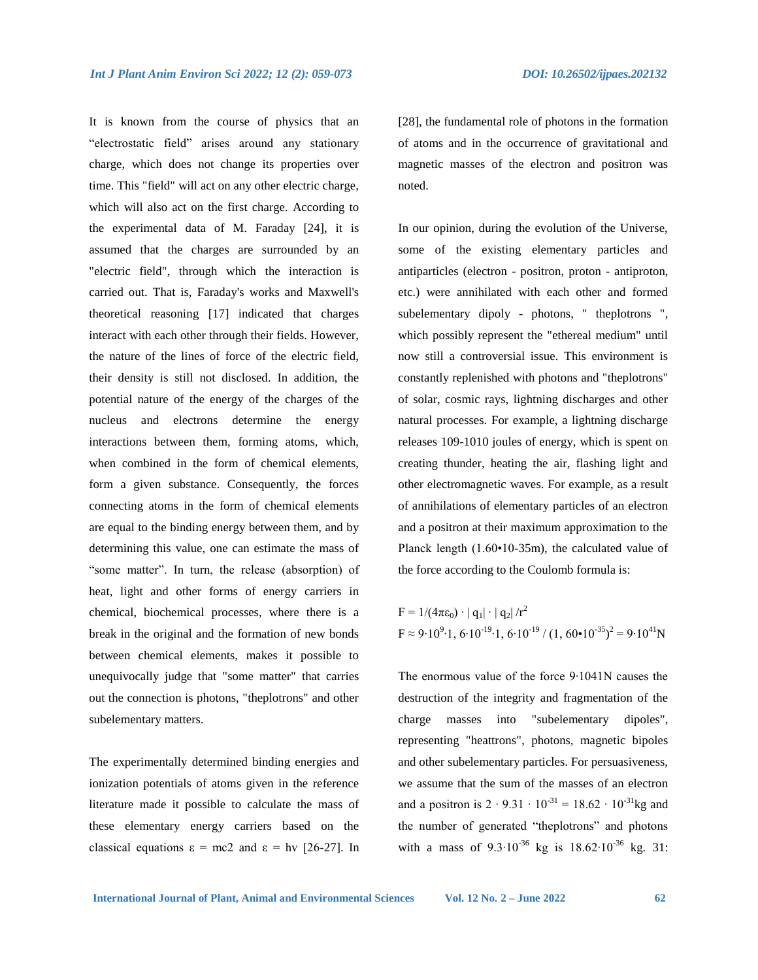It is known from the course of physics that an "electrostatic field" arises around any stationary charge, which does not change its properties over time. This "field" will act on any other electric charge, which will also act on the first charge. According to the experimental data of M. Faraday [24], it is assumed that the charges are surrounded by an "electric field", through which the interaction is carried out. That is, Faraday's works and Maxwell's theoretical reasoning [17] indicated that charges interact with each other through their fields. However, the nature of the lines of force of the electric field, their density is still not disclosed. In addition, the potential nature of the energy of the charges of the nucleus and electrons determine the energy interactions between them, forming atoms, which, when combined in the form of chemical elements, form a given substance. Consequently, the forces connecting atoms in the form of chemical elements are equal to the binding energy between them, and by determining this value, one can estimate the mass of "some matter". In turn, the release (absorption) of heat, light and other forms of energy carriers in chemical, biochemical processes, where there is a break in the original and the formation of new bonds between chemical elements, makes it possible to unequivocally judge that "some matter" that carries out the connection is photons, "theplotrons" and other subelementary matters.

The experimentally determined binding energies and ionization potentials of atoms given in the reference literature made it possible to calculate the mass of these elementary energy carriers based on the classical equations  $\varepsilon = mc2$  and  $\varepsilon = hv$  [26-27]. In

[28], the fundamental role of photons in the formation of atoms and in the occurrence of gravitational and magnetic masses of the electron and positron was noted.

In our opinion, during the evolution of the Universe, some of the existing elementary particles and antiparticles (electron - positron, proton - antiproton, etc.) were annihilated with each other and formed subelementary dipoly - photons, " theplotrons ", which possibly represent the "ethereal medium" until now still a controversial issue. This environment is constantly replenished with photons and "theplotrons" of solar, cosmic rays, lightning discharges and other natural processes. For example, a lightning discharge releases 109-1010 joules of energy, which is spent on creating thunder, heating the air, flashing light and other electromagnetic waves. For example, as a result of annihilations of elementary particles of an electron and a positron at their maximum approximation to the Planck length (1.60•10-35m), the calculated value of the force according to the Coulomb formula is:

$$
F = 1/(4\pi\epsilon_0) \cdot |q_1| \cdot |q_2| / r^2
$$
  
 
$$
F \approx 9.10^{9} \cdot 1, 6.10^{-19} \cdot 1, 6.10^{-19} / (1, 60 \cdot 10^{-35})^2 = 9.10^{41} N
$$

The enormous value of the force 9∙1041N causes the destruction of the integrity and fragmentation of the charge masses into "subelementary dipoles", representing "heattrons", photons, magnetic bipoles and other subelementary particles. For persuasiveness, we assume that the sum of the masses of an electron and a positron is  $2 \cdot 9.31 \cdot 10^{-31} = 18.62 \cdot 10^{-31}$ kg and the number of generated "theplotrons" and photons with a mass of  $9.3 \cdot 10^{-36}$  kg is  $18.62 \cdot 10^{-36}$  kg. 31: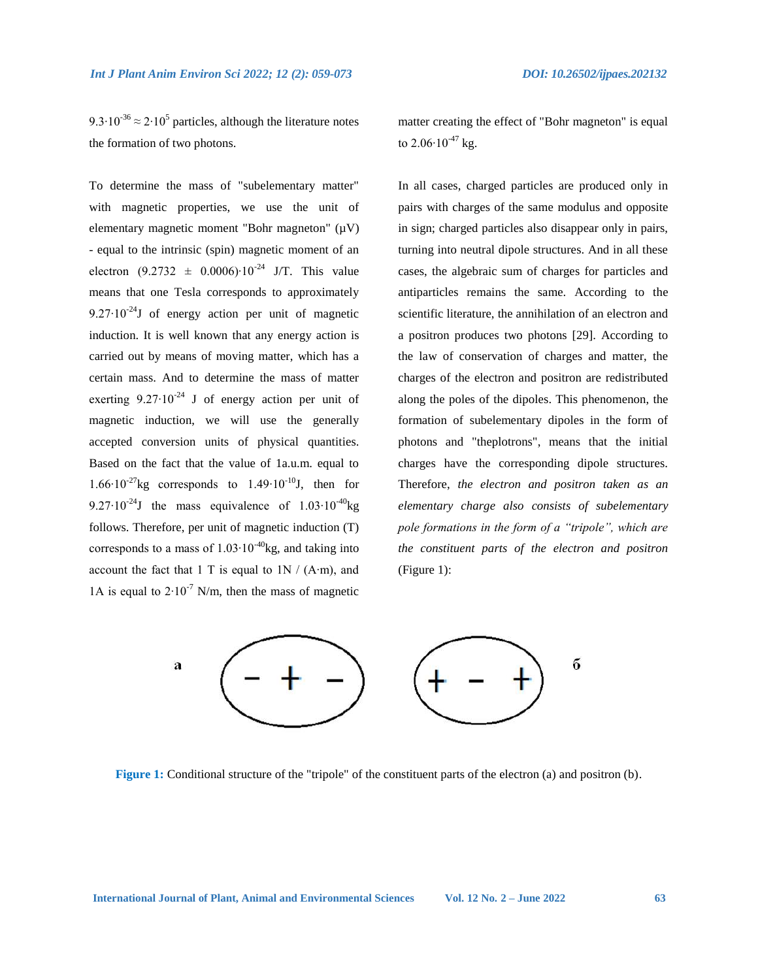9.3⋅10<sup>-36</sup>  $\approx$  2⋅10<sup>5</sup> particles, although the literature notes the formation of two photons.

To determine the mass of "subelementary matter" with magnetic properties, we use the unit of elementary magnetic moment "Bohr magneton"  $(\mu V)$ - equal to the intrinsic (spin) magnetic moment of an electron  $(9.2732 \pm 0.0006)$ <sup>24</sup> J/T. This value means that one Tesla corresponds to approximately 9.27⋅10<sup>-24</sup>J of energy action per unit of magnetic induction. It is well known that any energy action is carried out by means of moving matter, which has a certain mass. And to determine the mass of matter exerting  $9.27 \cdot 10^{-24}$  J of energy action per unit of magnetic induction, we will use the generally accepted conversion units of physical quantities. Based on the fact that the value of 1a.u.m. equal to 1.66 $\cdot$ 10<sup>-27</sup>kg corresponds to 1.49 $\cdot$ 10<sup>-10</sup>J, then for 9.27⋅10<sup>-24</sup>J the mass equivalence of  $1.03 \cdot 10^{-40}$ kg follows. Therefore, per unit of magnetic induction (T) corresponds to a mass of  $1.03 \cdot 10^{-40}$ kg, and taking into account the fact that 1 T is equal to  $1N / (A·m)$ , and 1A is equal to  $2 \cdot 10^{-7}$  N/m, then the mass of magnetic

matter creating the effect of "Bohr magneton" is equal to  $2.06 \cdot 10^{-47}$  kg.

In all cases, charged particles are produced only in pairs with charges of the same modulus and opposite in sign; charged particles also disappear only in pairs, turning into neutral dipole structures. And in all these cases, the algebraic sum of charges for particles and antiparticles remains the same. According to the scientific literature, the annihilation of an electron and a positron produces two photons [29]. According to the law of conservation of charges and matter, the charges of the electron and positron are redistributed along the poles of the dipoles. This phenomenon, the formation of subelementary dipoles in the form of photons and "theplotrons", means that the initial charges have the corresponding dipole structures. Therefore, *the electron and positron taken as an elementary charge also consists of subelementary pole formations in the form of a "tripole", which are the constituent parts of the electron and positron* (Figure 1):



**Figure 1:** Conditional structure of the "tripole" of the constituent parts of the electron (a) and positron (b).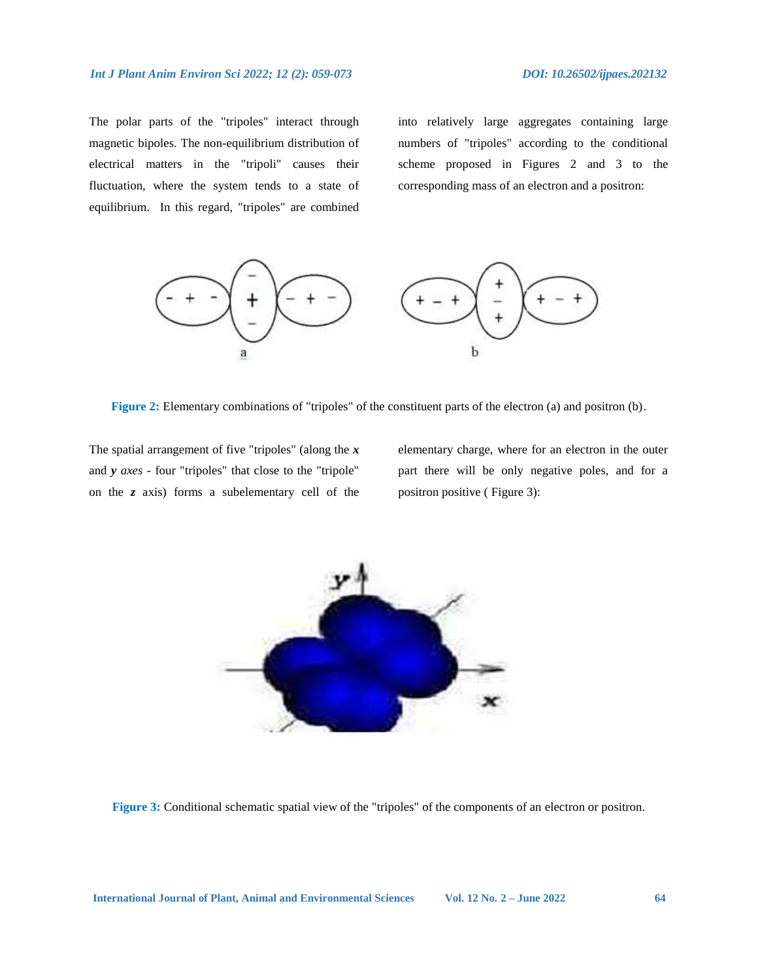The polar parts of the "tripoles" interact through magnetic bipoles. The non-equilibrium distribution of electrical matters in the "tripoli" causes their fluctuation, where the system tends to a state of equilibrium.In this regard, "tripoles" are combined

into relatively large aggregates containing large numbers of "tripoles" according to the conditional scheme proposed in Figures 2 and 3 to the corresponding mass of an electron and a positron:



**Figure 2:** Elementary combinations of "tripoles" of the constituent parts of the electron (a) and positron (b).

The spatial arrangement of five "tripoles" (along the *x* and *y axes* - four "tripoles" that close to the "tripole" on the *z* axis) forms a subelementary cell of the elementary charge, where for an electron in the outer part there will be only negative poles, and for a positron positive ( Figure 3):



**Figure 3:** Conditional schematic spatial view of the "tripoles" of the components of an electron or positron.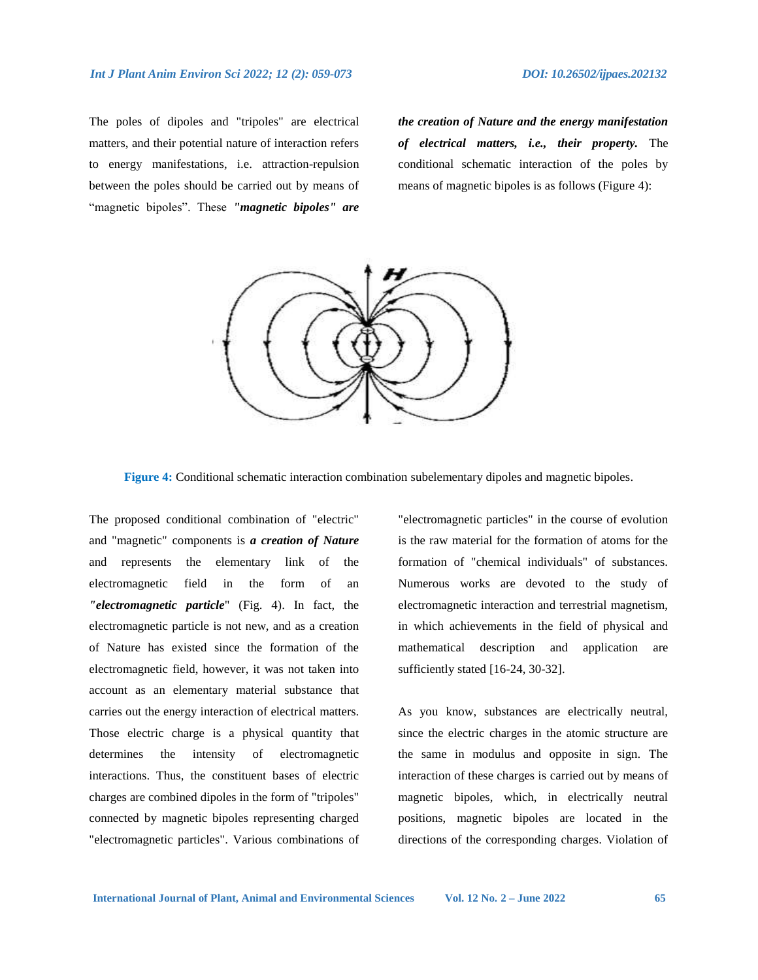The poles of dipoles and "tripoles" are electrical matters, and their potential nature of interaction refers to energy manifestations, i.e. attraction-repulsion between the poles should be carried out by means of "magnetic bipoles". These *"magnetic bipoles" are* 

*the creation of Nature and the energy manifestation of electrical matters, i.e., their property.* The conditional schematic interaction of the poles by means of magnetic bipoles is as follows (Figure 4):



**Figure 4:** Conditional schematic interaction combination subelementary dipoles and magnetic bipoles.

The proposed conditional combination of "electric" and "magnetic" components is *a creation of Nature* and represents the elementary link of the electromagnetic field in the form of an *"electromagnetic particle*" (Fig. 4). In fact, the electromagnetic particle is not new, and as a creation of Nature has existed since the formation of the electromagnetic field, however, it was not taken into account as an elementary material substance that carries out the energy interaction of electrical matters. Those electric charge is a physical quantity that determines the intensity of electromagnetic interactions. Thus, the constituent bases of electric charges are combined dipoles in the form of "tripoles" connected by magnetic bipoles representing charged "electromagnetic particles". Various combinations of

"electromagnetic particles" in the course of evolution is the raw material for the formation of atoms for the formation of "chemical individuals" of substances. Numerous works are devoted to the study of electromagnetic interaction and terrestrial magnetism, in which achievements in the field of physical and mathematical description and application are sufficiently stated [16-24, 30-32].

As you know, substances are electrically neutral, since the electric charges in the atomic structure are the same in modulus and opposite in sign. The interaction of these charges is carried out by means of magnetic bipoles, which, in electrically neutral positions, magnetic bipoles are located in the directions of the corresponding charges. Violation of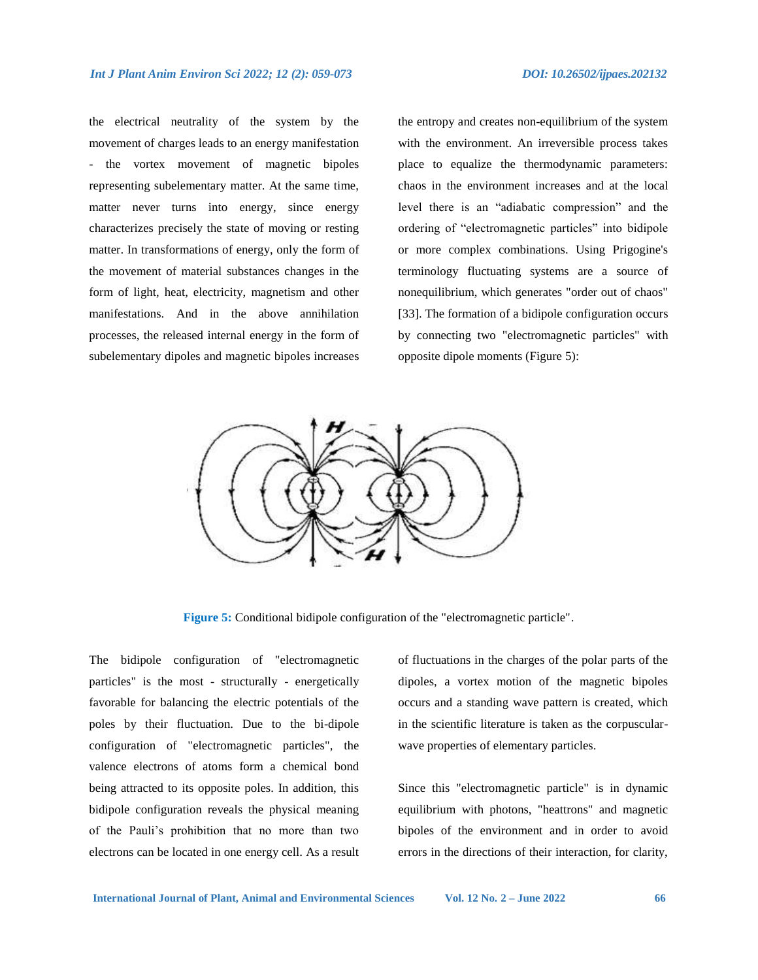the electrical neutrality of the system by the movement of charges leads to an energy manifestation the vortex movement of magnetic bipoles representing subelementary matter. At the same time, matter never turns into energy, since energy characterizes precisely the state of moving or resting matter. In transformations of energy, only the form of the movement of material substances changes in the form of light, heat, electricity, magnetism and other manifestations. And in the above annihilation processes, the released internal energy in the form of subelementary dipoles and magnetic bipoles increases

the entropy and creates non-equilibrium of the system with the environment. An irreversible process takes place to equalize the thermodynamic parameters: chaos in the environment increases and at the local level there is an "adiabatic compression" and the ordering of "electromagnetic particles" into bidipole or more complex combinations. Using Prigogine's terminology fluctuating systems are a source of nonequilibrium, which generates "order out of chaos" [33]. The formation of a bidipole configuration occurs by connecting two "electromagnetic particles" with opposite dipole moments (Figure 5):



**Figure 5:** Conditional bidipole configuration of the "electromagnetic particle".

The bidipole configuration of "electromagnetic particles" is the most - structurally - energetically favorable for balancing the electric potentials of the poles by their fluctuation. Due to the bi-dipole configuration of "electromagnetic particles", the valence electrons of atoms form a chemical bond being attracted to its opposite poles. In addition, this bidipole configuration reveals the physical meaning of the Pauli's prohibition that no more than two electrons can be located in one energy cell. As a result

of fluctuations in the charges of the polar parts of the dipoles, a vortex motion of the magnetic bipoles occurs and a standing wave pattern is created, which in the scientific literature is taken as the corpuscularwave properties of elementary particles.

Since this "electromagnetic particle" is in dynamic equilibrium with photons, "heattrons" and magnetic bipoles of the environment and in order to avoid errors in the directions of their interaction, for clarity,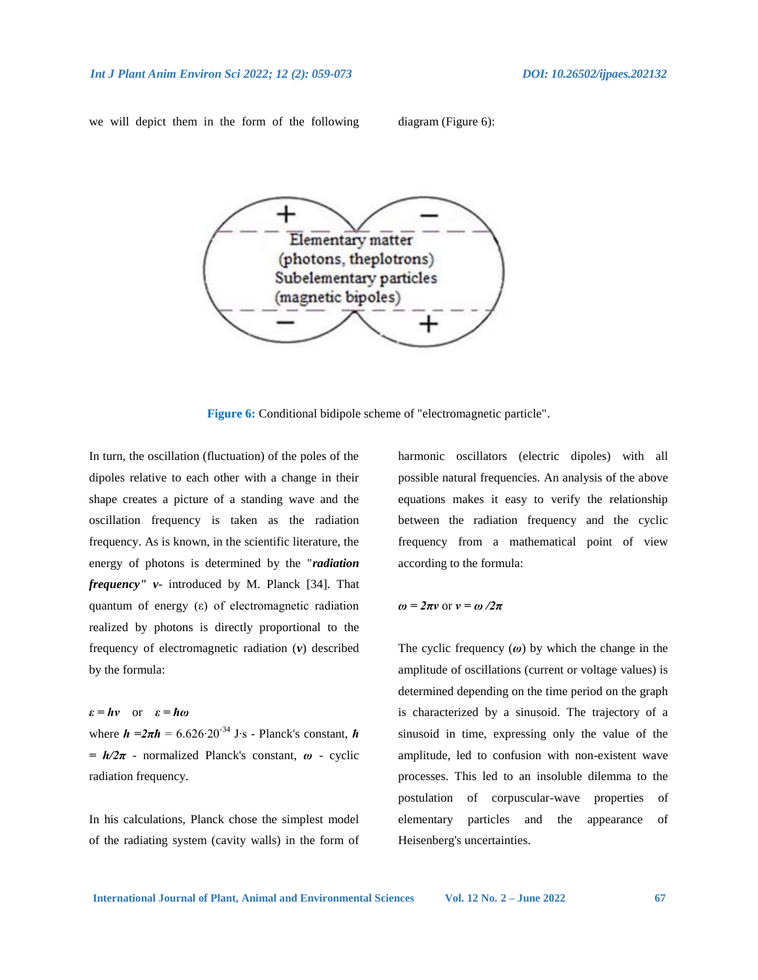we will depict them in the form of the following diagram (Figure 6):



**Figure 6:** Conditional bidipole scheme of "electromagnetic particle".

In turn, the oscillation (fluctuation) of the poles of the dipoles relative to each other with a change in their shape creates a picture of a standing wave and the oscillation frequency is taken as the radiation frequency. As is known, in the scientific literature, the energy of photons is determined by the "*radiation frequency" v*- introduced by M. Planck [34]. That quantum of energy (ε) of electromagnetic radiation realized by photons is directly proportional to the frequency of electromagnetic radiation (*v*) described by the formula:

*ε = hv* or *ε = ћω* where *h =2πћ* = 6.626∙20-34 J∙s - Planck's constant, *ћ = h/2π* - normalized Planck's constant, *ω* - cyclic radiation frequency.

In his calculations, Planck chose the simplest model of the radiating system (cavity walls) in the form of harmonic oscillators (electric dipoles) with all possible natural frequencies. An analysis of the above equations makes it easy to verify the relationship between the radiation frequency and the cyclic frequency from a mathematical point of view according to the formula:

#### *ω = 2πv* or *v = ω /2π*

The cyclic frequency (*ω*) by which the change in the amplitude of oscillations (current or voltage values) is determined depending on the time period on the graph is characterized by a sinusoid. The trajectory of a sinusoid in time, expressing only the value of the amplitude, led to confusion with non-existent wave processes. This led to an insoluble dilemma to the postulation of corpuscular-wave properties of elementary particles and the appearance of Heisenberg's uncertainties.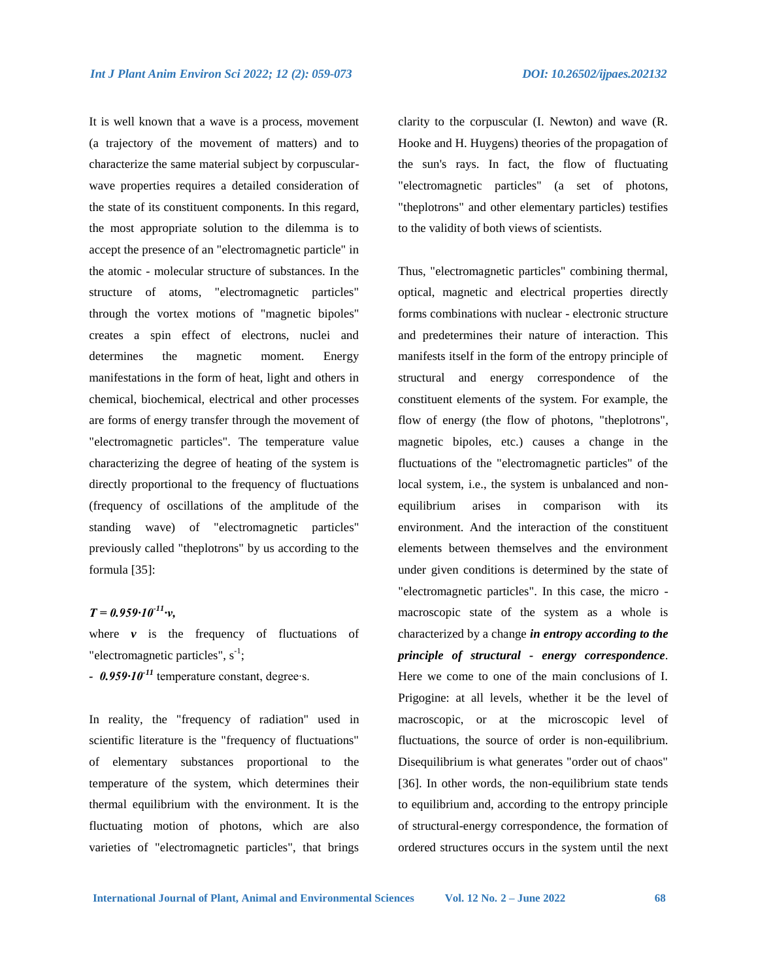It is well known that a wave is a process, movement (a trajectory of the movement of matters) and to characterize the same material subject by corpuscularwave properties requires a detailed consideration of the state of its constituent components. In this regard, the most appropriate solution to the dilemma is to accept the presence of an "electromagnetic particle" in the atomic - molecular structure of substances. In the structure of atoms, "electromagnetic particles" through the vortex motions of "magnetic bipoles" creates a spin effect of electrons, nuclei and determines the magnetic moment. Energy manifestations in the form of heat, light and others in chemical, biochemical, electrical and other processes are forms of energy transfer through the movement of "electromagnetic particles". The temperature value characterizing the degree of heating of the system is directly proportional to the frequency of fluctuations (frequency of oscillations of the amplitude of the standing wave) of "electromagnetic particles" previously called "theplotrons" by us according to the formula [35]:

# *T = 0.959∙10-11∙v,*

where  $\nu$  is the frequency of fluctuations of "electromagnetic particles",  $s^{-1}$ ;

*- 0.959∙10-11* temperature constant, degree∙s.

In reality, the "frequency of radiation" used in scientific literature is the "frequency of fluctuations" of elementary substances proportional to the temperature of the system, which determines their thermal equilibrium with the environment. It is the fluctuating motion of photons, which are also varieties of "electromagnetic particles", that brings clarity to the corpuscular (I. Newton) and wave (R. Hooke and H. Huygens) theories of the propagation of the sun's rays. In fact, the flow of fluctuating "electromagnetic particles" (a set of photons, "theplotrons" and other elementary particles) testifies to the validity of both views of scientists.

Thus, "electromagnetic particles" combining thermal, optical, magnetic and electrical properties directly forms combinations with nuclear - electronic structure and predetermines their nature of interaction. This manifests itself in the form of the entropy principle of structural and energy correspondence of the constituent elements of the system. For example, the flow of energy (the flow of photons, "theplotrons", magnetic bipoles, etc.) causes a change in the fluctuations of the "electromagnetic particles" of the local system, i.e., the system is unbalanced and nonequilibrium arises in comparison with its environment. And the interaction of the constituent elements between themselves and the environment under given conditions is determined by the state of "electromagnetic particles". In this case, the micro macroscopic state of the system as a whole is characterized by a change *in entropy according to the principle of structural - energy correspondence*. Here we come to one of the main conclusions of I. Prigogine: at all levels, whether it be the level of macroscopic, or at the microscopic level of fluctuations, the source of order is non-equilibrium. Disequilibrium is what generates "order out of chaos" [36]. In other words, the non-equilibrium state tends to equilibrium and, according to the entropy principle of structural-energy correspondence, the formation of ordered structures occurs in the system until the next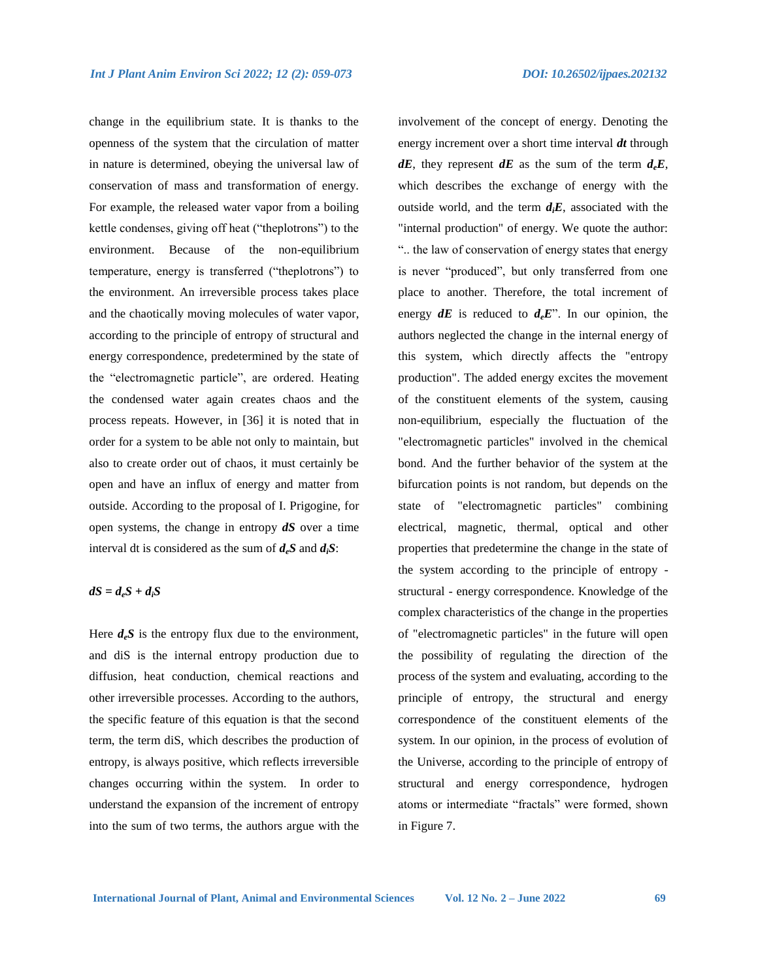change in the equilibrium state. It is thanks to the openness of the system that the circulation of matter in nature is determined, obeying the universal law of conservation of mass and transformation of energy. For example, the released water vapor from a boiling kettle condenses, giving off heat ("theplotrons") to the environment. Because of the non-equilibrium temperature, energy is transferred ("theplotrons") to the environment. An irreversible process takes place and the chaotically moving molecules of water vapor, according to the principle of entropy of structural and energy correspondence, predetermined by the state of the "electromagnetic particle", are ordered. Heating the condensed water again creates chaos and the process repeats. However, in [36] it is noted that in order for a system to be able not only to maintain, but also to create order out of chaos, it must certainly be open and have an influx of energy and matter from outside. According to the proposal of I. Prigogine, for open systems, the change in entropy *dS* over a time interval dt is considered as the sum of *deS* and *diS*:

# $dS = d_eS + d_iS$

Here  $d_e S$  is the entropy flux due to the environment, and diS is the internal entropy production due to diffusion, heat conduction, chemical reactions and other irreversible processes. According to the authors, the specific feature of this equation is that the second term, the term diS, which describes the production of entropy, is always positive, which reflects irreversible changes occurring within the system. In order to understand the expansion of the increment of entropy into the sum of two terms, the authors argue with the

involvement of the concept of energy. Denoting the energy increment over a short time interval *dt* through *dE*, they represent *dE* as the sum of the term  $d_eE$ , which describes the exchange of energy with the outside world, and the term  $d_iE$ , associated with the "internal production" of energy. We quote the author: ".. the law of conservation of energy states that energy is never "produced", but only transferred from one place to another. Therefore, the total increment of energy  $dE$  is reduced to  $d_eE^{\prime\prime}$ . In our opinion, the authors neglected the change in the internal energy of this system, which directly affects the "entropy production". The added energy excites the movement of the constituent elements of the system, causing non-equilibrium, especially the fluctuation of the "electromagnetic particles" involved in the chemical bond. And the further behavior of the system at the bifurcation points is not random, but depends on the state of "electromagnetic particles" combining electrical, magnetic, thermal, optical and other properties that predetermine the change in the state of the system according to the principle of entropy structural - energy correspondence. Knowledge of the complex characteristics of the change in the properties of "electromagnetic particles" in the future will open the possibility of regulating the direction of the process of the system and evaluating, according to the principle of entropy, the structural and energy correspondence of the constituent elements of the system. In our opinion, in the process of evolution of the Universe, according to the principle of entropy of structural and energy correspondence, hydrogen atoms or intermediate "fractals" were formed, shown in Figure 7.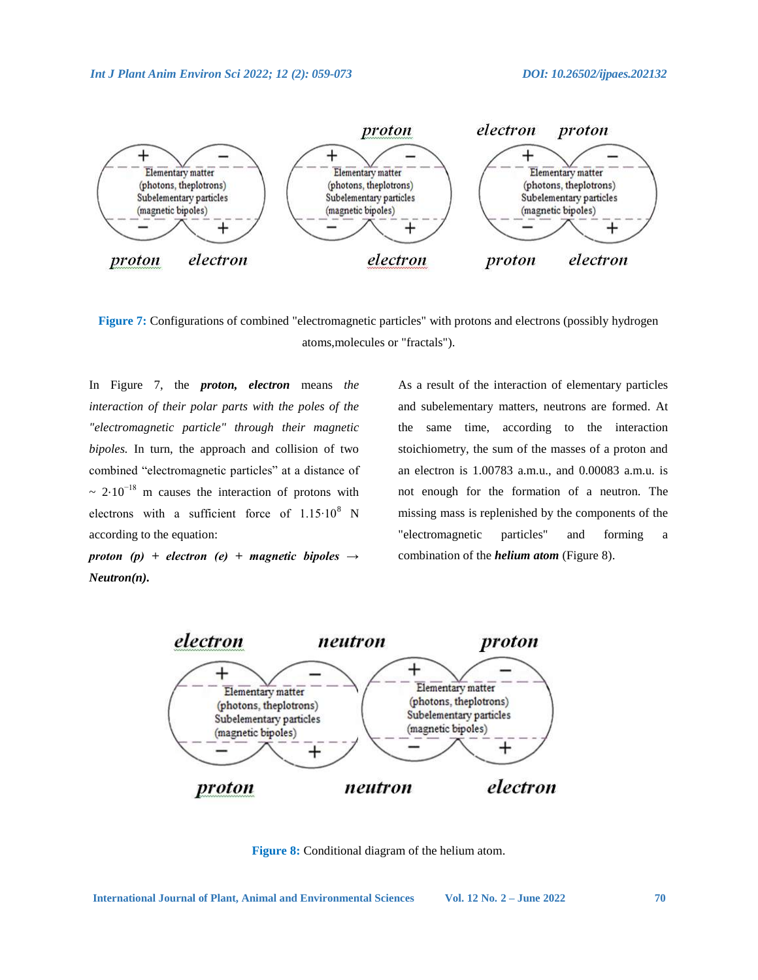

**Figure 7:** Configurations of combined "electromagnetic particles" with protons and electrons (possibly hydrogen atoms,molecules or "fractals").

In Figure 7, the *proton, electron* means *the interaction of their polar parts with the poles of the "electromagnetic particle" through their magnetic bipoles.* In turn, the approach and collision of two combined "electromagnetic particles" at a distance of  $\sim 2.10^{-18}$  m causes the interaction of protons with electrons with a sufficient force of  $1.15 \cdot 10^8$  N according to the equation:

*proton (p) + electron (e) + magnetic bipoles → Neutron(n).*

As a result of the interaction of elementary particles and subelementary matters, neutrons are formed. At the same time, according to the interaction stoichiometry, the sum of the masses of a proton and an electron is 1.00783 a.m.u., and 0.00083 a.m.u. is not enough for the formation of a neutron. The missing mass is replenished by the components of the "electromagnetic particles" and forming a combination of the *helium atom* (Figure 8).



**Figure 8:** Conditional diagram of the helium atom.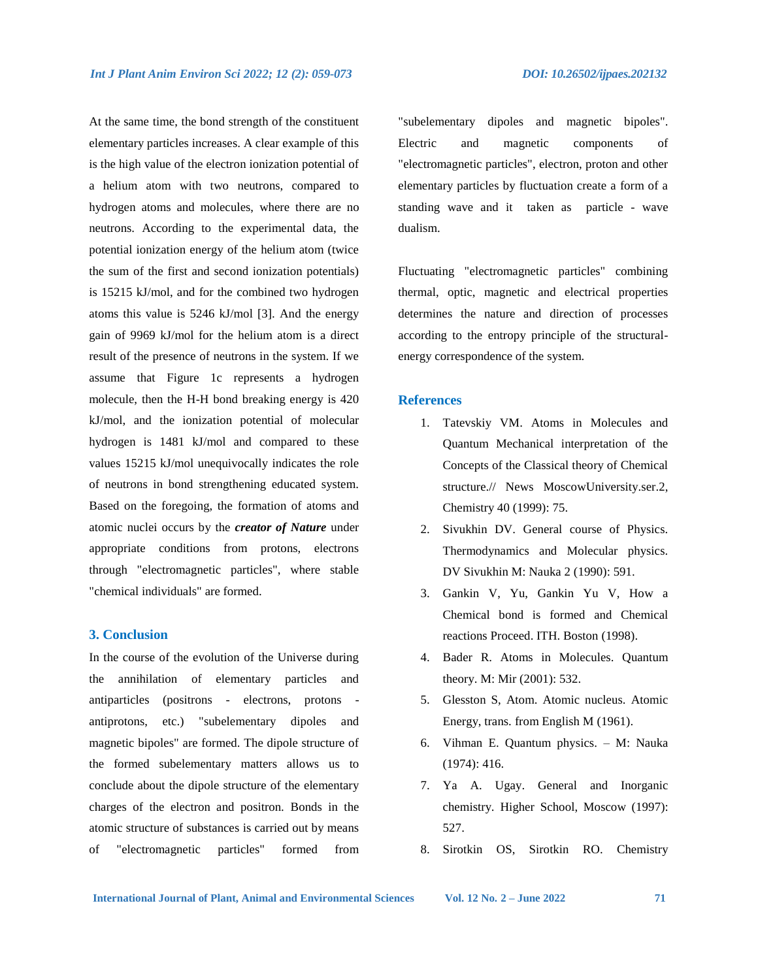At the same time, the bond strength of the constituent elementary particles increases. A clear example of this is the high value of the electron ionization potential of a helium atom with two neutrons, compared to hydrogen atoms and molecules, where there are no neutrons. According to the experimental data, the potential ionization energy of the helium atom (twice the sum of the first and second ionization potentials) is 15215 kJ/mol, and for the combined two hydrogen atoms this value is 5246 kJ/mol [3]. And the energy gain of 9969 kJ/mol for the helium atom is a direct result of the presence of neutrons in the system. If we assume that Figure 1c represents a hydrogen molecule, then the H-H bond breaking energy is 420 kJ/mol, and the ionization potential of molecular hydrogen is 1481 kJ/mol and compared to these values 15215 kJ/mol unequivocally indicates the role of neutrons in bond strengthening educated system. Based on the foregoing, the formation of atoms and atomic nuclei occurs by the *creator of Nature* under appropriate conditions from protons, electrons through "electromagnetic particles", where stable "chemical individuals" are formed.

## **3. Conclusion**

In the course of the evolution of the Universe during the annihilation of elementary particles and antiparticles (positrons - electrons, protons antiprotons, etc.) "subelementary dipoles and magnetic bipoles" are formed. The dipole structure of the formed subelementary matters allows us to conclude about the dipole structure of the elementary charges of the electron and positron. Bonds in the atomic structure of substances is carried out by means of "electromagnetic particles" formed from

"subelementary dipoles and magnetic bipoles". Electric and magnetic components of "electromagnetic particles", electron, proton and other elementary particles by fluctuation create a form of a standing wave and it taken as particle - wave dualism.

Fluctuating "electromagnetic particles" combining thermal, optic, magnetic and electrical properties determines the nature and direction of processes according to the entropy principle of the structuralenergy correspondence of the system.

### **References**

- 1. Tatevskiy VM. Atoms in Molecules and Quantum Mechanical interpretation of the Concepts of the Classical theory of Chemical structure.// News MoscowUniversity.ser.2, Chemistry 40 (1999): 75.
- 2. Sivukhin DV. General course of Physics. Thermodynamics and Molecular physics. DV Sivukhin M: Nauka 2 (1990): 591.
- 3. Gankin V, Yu, Gankin Yu V, How a Chemical bond is formed and Chemical reactions Proceed. ITH. Boston (1998).
- 4. Bader R. Atoms in Molecules. Quantum theory. M: Mir (2001): 532.
- 5. Glesston S, Atom. Atomic nucleus. Atomic Energy, trans. from English M (1961).
- 6. Vihman E. Quantum physics. M: Nauka (1974): 416.
- 7. Ya A. Ugay. General and Inorganic chemistry. Higher School, Moscow (1997): 527.
- 8. Sirotkin OS, Sirotkin RO. Chemistry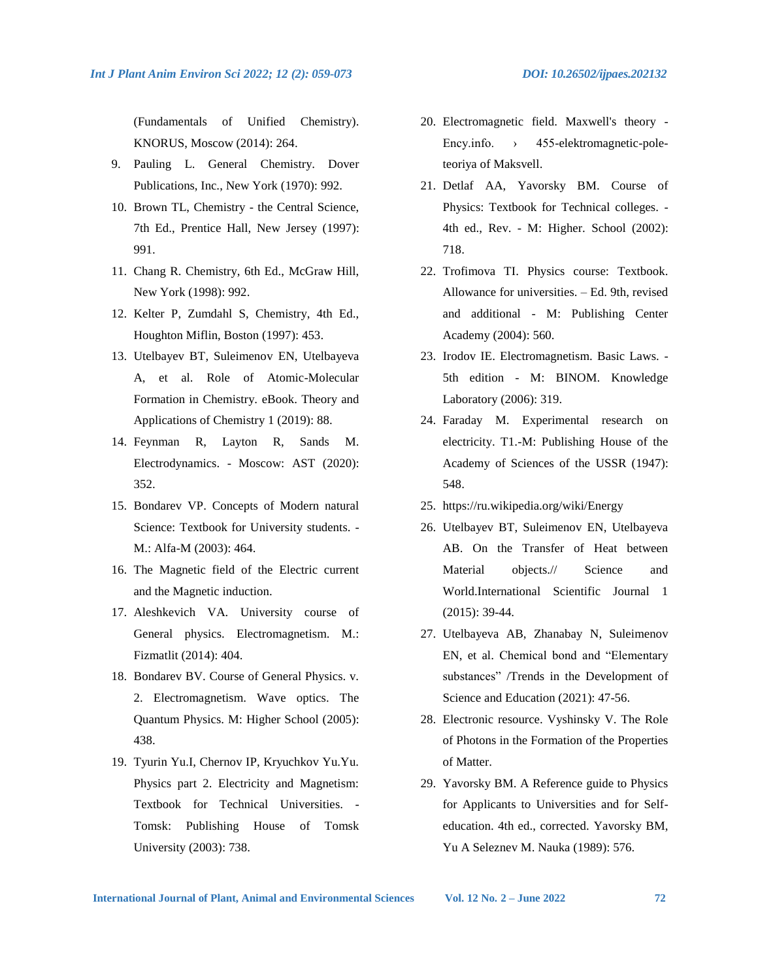(Fundamentals of Unified Chemistry). KNORUS, Moscow (2014): 264.

- 9. Pauling L. General Chemistry. Dover Publications, Inc., New York (1970): 992.
- 10. Brown TL, Chemistry the Central Science, 7th Ed., Prentice Hall, New Jersey (1997): 991.
- 11. Chang R. Chemistry, 6th Ed., McGraw Hill, New York (1998): 992.
- 12. Kelter P, Zumdahl S, Chemistry, 4th Ed., Houghton Miflin, Boston (1997): 453.
- 13. Utelbayev BT, Suleimenov EN, Utelbayeva A, et al. Role of Atomic-Molecular Formation in Chemistry. eBook. Theory and Applications of Chemistry 1 (2019): 88.
- 14. Feynman R, Layton R, Sands M. Electrodynamics. - Moscow: AST (2020): 352.
- 15. Bondarev VP. Concepts of Modern natural Science: Textbook for University students. - M.: Alfa-M (2003): 464.
- 16. The Magnetic field of the Electric current and the Magnetic induction.
- 17. Aleshkevich VA. University course of General physics. Electromagnetism. M.: Fizmatlit (2014): 404.
- 18. Bondarev BV. Course of General Physics. v. 2. Electromagnetism. Wave optics. The Quantum Physics. M: Higher School (2005): 438.
- 19. Tyurin Yu.I, Chernov IP, Kryuchkov Yu.Yu. Physics part 2. Electricity and Magnetism: Textbook for Technical Universities. - Tomsk: Publishing House of Tomsk University (2003): 738.
- 20. Electromagnetic field. Maxwell's theory Ency.info. > 455-elektromagnetic-poleteoriya of Maksvell.
- 21. Detlaf AA, Yavorsky BM. Course of Physics: Textbook for Technical colleges. - 4th ed., Rev. - M: Higher. School (2002): 718.
- 22. Trofimova TI. Physics course: Textbook. Allowance for universities. – Ed. 9th, revised and additional - M: Publishing Center Academy (2004): 560.
- 23. Irodov IE. Electromagnetism. Basic Laws. 5th edition - M: BINOM. Knowledge Laboratory (2006): 319.
- 24. Faraday M. Experimental research on electricity. T1.-M: Publishing House of the Academy of Sciences of the USSR (1947): 548.
- 25. https://ru.wikipedia.org/wiki/Energy
- 26. Utelbayev BT, Suleimenov EN, Utelbayeva AB. On the Transfer of Heat between Material objects.// Science and World.International Scientific Journal 1 (2015): 39-44.
- 27. Utelbayeva AB, Zhanabay N, Suleimenov EN, et al. Chemical bond and "Elementary substances" /Trends in the Development of Science and Education (2021): 47-56.
- 28. Electronic resource. Vyshinsky V. The Role of Photons in the Formation of the Properties of Matter.
- 29. Yavorsky BM. A Reference guide to Physics for Applicants to Universities and for Selfeducation. 4th ed., corrected. Yavorsky BM, Yu A Seleznev M. Nauka (1989): 576.